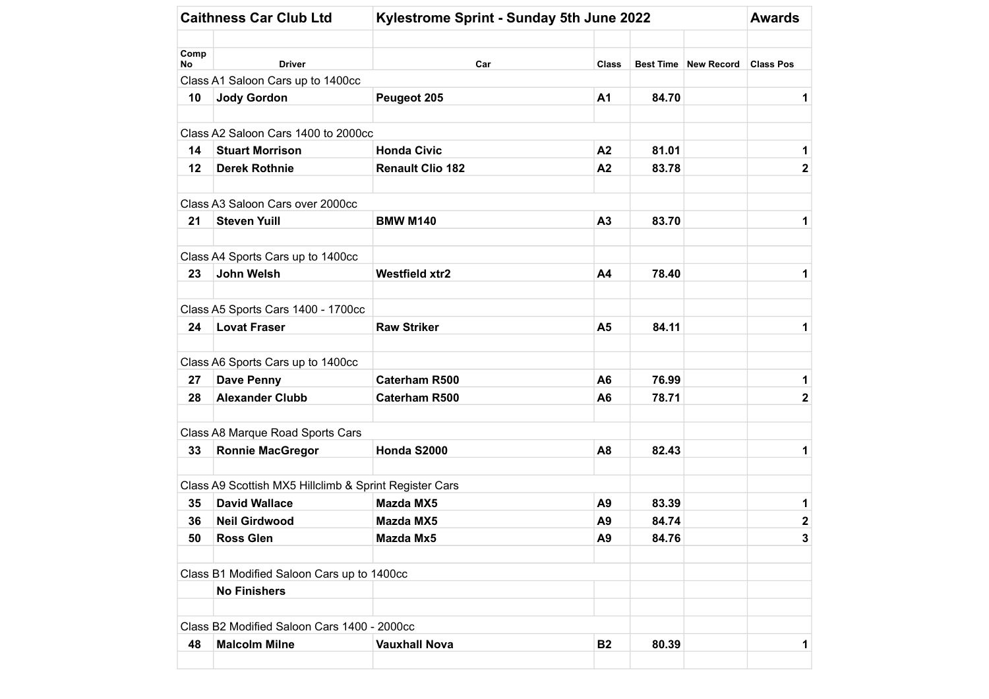|            |                                                        | Kylestrome Sprint - Sunday 5th June 2022 | <b>Awards</b>  |       |                      |                  |
|------------|--------------------------------------------------------|------------------------------------------|----------------|-------|----------------------|------------------|
| Comp<br>No | <b>Driver</b>                                          | Car                                      | <b>Class</b>   |       | Best Time New Record | <b>Class Pos</b> |
|            | Class A1 Saloon Cars up to 1400cc                      |                                          |                |       |                      |                  |
| 10         | <b>Jody Gordon</b>                                     | Peugeot 205                              | A1             | 84.70 |                      | 1                |
|            | Class A2 Saloon Cars 1400 to 2000cc                    |                                          |                |       |                      |                  |
| 14         | <b>Stuart Morrison</b>                                 | <b>Honda Civic</b>                       | A2             | 81.01 |                      | 1                |
| 12         | <b>Derek Rothnie</b>                                   | <b>Renault Clio 182</b>                  | A2             | 83.78 |                      | $\mathbf 2$      |
|            | Class A3 Saloon Cars over 2000cc                       |                                          |                |       |                      |                  |
| 21         | <b>Steven Yuill</b>                                    | <b>BMW M140</b>                          | A3             | 83.70 |                      | 1                |
|            | Class A4 Sports Cars up to 1400cc                      |                                          |                |       |                      |                  |
| 23         | <b>John Welsh</b>                                      | <b>Westfield xtr2</b>                    | A4             | 78.40 |                      | 1                |
|            | Class A5 Sports Cars 1400 - 1700cc                     |                                          |                |       |                      |                  |
| 24         | <b>Lovat Fraser</b>                                    | <b>Raw Striker</b>                       | A <sub>5</sub> | 84.11 |                      | 1                |
|            | Class A6 Sports Cars up to 1400cc                      |                                          |                |       |                      |                  |
| 27         | <b>Dave Penny</b>                                      | <b>Caterham R500</b>                     | A <sub>6</sub> | 76.99 |                      | 1                |
| 28         | <b>Alexander Clubb</b>                                 | <b>Caterham R500</b>                     | A <sub>6</sub> | 78.71 |                      | $\mathbf 2$      |
|            | Class A8 Marque Road Sports Cars                       |                                          |                |       |                      |                  |
| 33         | <b>Ronnie MacGregor</b>                                | Honda S2000                              | A <sub>8</sub> | 82.43 |                      | 1                |
|            | Class A9 Scottish MX5 Hillclimb & Sprint Register Cars |                                          |                |       |                      |                  |
| 35         | <b>David Wallace</b>                                   | <b>Mazda MX5</b>                         | A <sub>9</sub> | 83.39 |                      | 1                |
| 36         | <b>Neil Girdwood</b>                                   | <b>Mazda MX5</b>                         | A <sub>9</sub> | 84.74 |                      | 2                |
| 50         | <b>Ross Glen</b>                                       | Mazda Mx5                                | A9             | 84.76 |                      | 3                |
|            | Class B1 Modified Saloon Cars up to 1400cc             |                                          |                |       |                      |                  |
|            | <b>No Finishers</b>                                    |                                          |                |       |                      |                  |
|            | Class B2 Modified Saloon Cars 1400 - 2000cc            |                                          |                |       |                      |                  |
| 48         | <b>Malcolm Milne</b>                                   | <b>Vauxhall Nova</b>                     | <b>B2</b>      | 80.39 |                      | 1                |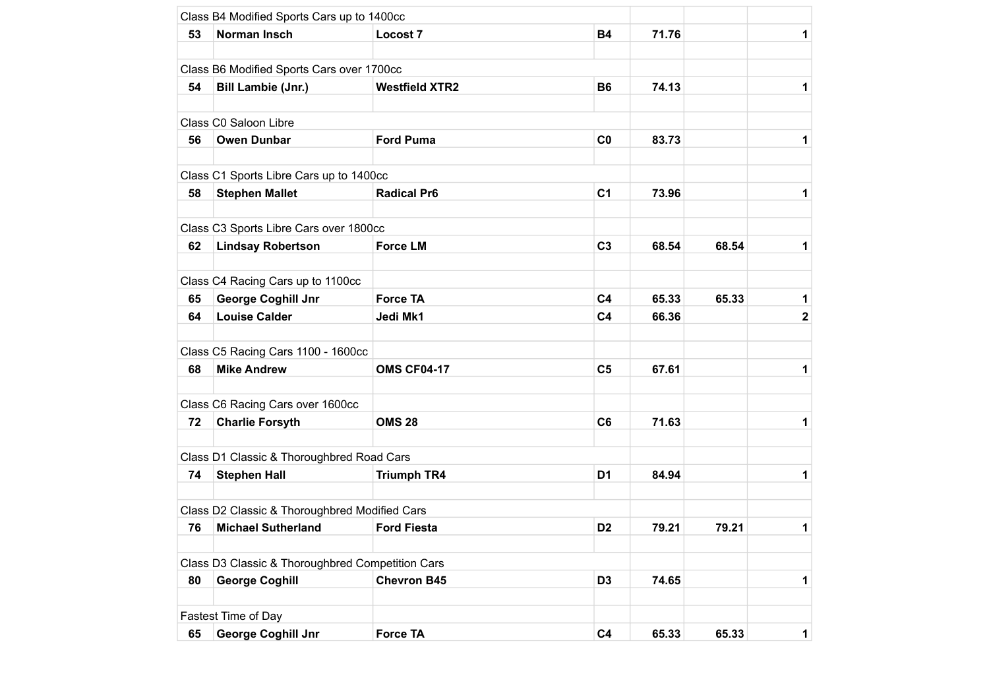| 53 | Norman Insch                                     | <b>Locost 7</b>       | <b>B4</b>      | 71.76 |       | 1            |
|----|--------------------------------------------------|-----------------------|----------------|-------|-------|--------------|
|    |                                                  |                       |                |       |       |              |
|    | Class B6 Modified Sports Cars over 1700cc        |                       |                |       |       |              |
| 54 | <b>Bill Lambie (Jnr.)</b>                        | <b>Westfield XTR2</b> | <b>B6</b>      | 74.13 |       | 1            |
|    |                                                  |                       |                |       |       |              |
|    | Class C0 Saloon Libre                            |                       |                |       |       |              |
| 56 | <b>Owen Dunbar</b>                               | <b>Ford Puma</b>      | C <sub>0</sub> | 83.73 |       | 1            |
|    |                                                  |                       |                |       |       |              |
|    | Class C1 Sports Libre Cars up to 1400cc          |                       |                |       |       |              |
| 58 | <b>Stephen Mallet</b>                            | <b>Radical Pr6</b>    | C <sub>1</sub> | 73.96 |       | 1            |
|    | Class C3 Sports Libre Cars over 1800cc           |                       |                |       |       |              |
| 62 | <b>Lindsay Robertson</b>                         | <b>Force LM</b>       | C <sub>3</sub> | 68.54 | 68.54 | 1            |
|    |                                                  |                       |                |       |       |              |
|    | Class C4 Racing Cars up to 1100cc                |                       |                |       |       |              |
| 65 | George Coghill Jnr                               | <b>Force TA</b>       | C <sub>4</sub> | 65.33 | 65.33 | 1            |
| 64 | <b>Louise Calder</b>                             | Jedi Mk1              | C <sub>4</sub> | 66.36 |       | $\mathbf{2}$ |
|    |                                                  |                       |                |       |       |              |
|    | Class C5 Racing Cars 1100 - 1600cc               |                       |                |       |       |              |
| 68 | <b>Mike Andrew</b>                               | <b>OMS CF04-17</b>    | C <sub>5</sub> | 67.61 |       | 1            |
|    |                                                  |                       |                |       |       |              |
|    | Class C6 Racing Cars over 1600cc                 |                       |                |       |       |              |
| 72 | <b>Charlie Forsyth</b>                           | <b>OMS 28</b>         | C <sub>6</sub> | 71.63 |       | 1            |
|    |                                                  |                       |                |       |       |              |
|    | Class D1 Classic & Thoroughbred Road Cars        |                       |                |       |       |              |
| 74 | <b>Stephen Hall</b>                              | <b>Triumph TR4</b>    | D <sub>1</sub> | 84.94 |       | 1            |
|    | Class D2 Classic & Thoroughbred Modified Cars    |                       |                |       |       |              |
| 76 | <b>Michael Sutherland</b>                        | <b>Ford Fiesta</b>    | D <sub>2</sub> | 79.21 | 79.21 | 1            |
|    |                                                  |                       |                |       |       |              |
|    | Class D3 Classic & Thoroughbred Competition Cars |                       |                |       |       |              |
| 80 | <b>George Coghill</b>                            | <b>Chevron B45</b>    | D <sub>3</sub> | 74.65 |       | 1            |
|    |                                                  |                       |                |       |       |              |
|    | Fastest Time of Day                              |                       |                |       |       |              |
| 65 | <b>George Coghill Jnr</b>                        | <b>Force TA</b>       | C <sub>4</sub> | 65.33 | 65.33 | $\mathbf 1$  |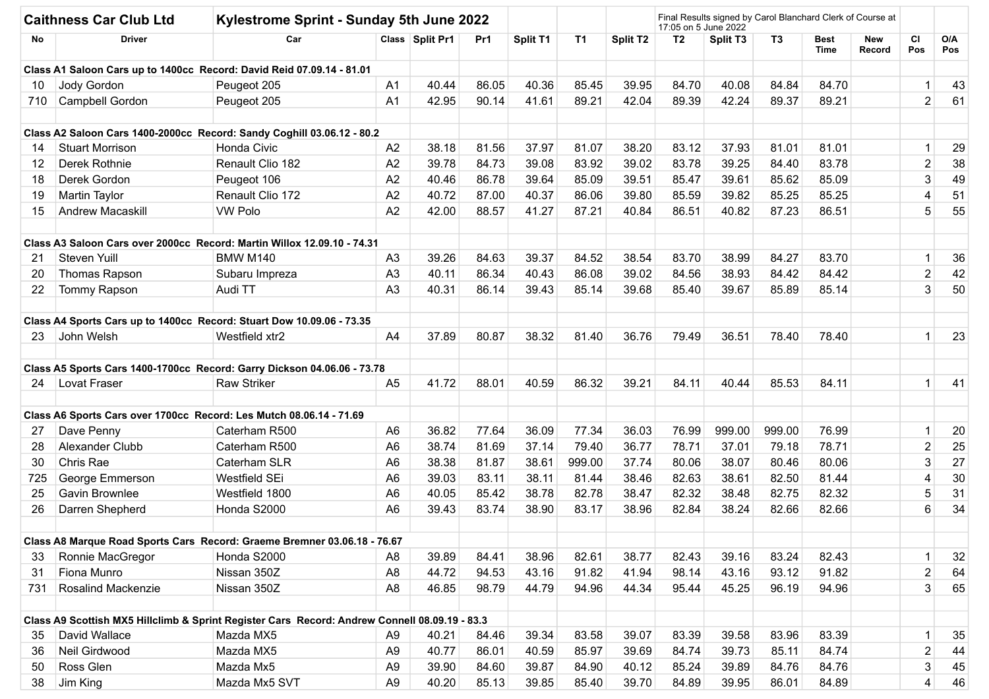| <b>Caithness Car Club Ltd</b> |                        | Kylestrome Sprint - Sunday 5th June 2022                                                      |                |                 |       |          |           |                      | Final Results signed by Carol Blanchard Clerk of Course at<br>17:05 on 5 June 2022 |                      |                |                     |               |                         |            |
|-------------------------------|------------------------|-----------------------------------------------------------------------------------------------|----------------|-----------------|-------|----------|-----------|----------------------|------------------------------------------------------------------------------------|----------------------|----------------|---------------------|---------------|-------------------------|------------|
| No                            | <b>Driver</b>          | Car                                                                                           |                | Class Split Pr1 | Pr1   | Split T1 | <b>T1</b> | Split T <sub>2</sub> | T <sub>2</sub>                                                                     | Split T <sub>3</sub> | T <sub>3</sub> | <b>Best</b><br>Time | New<br>Record | <b>CI</b><br>Pos        | O/A<br>Pos |
|                               |                        | Class A1 Saloon Cars up to 1400cc Record: David Reid 07.09.14 - 81.01                         |                |                 |       |          |           |                      |                                                                                    |                      |                |                     |               |                         |            |
| 10                            | <b>Jody Gordon</b>     | Peugeot 205                                                                                   | A1             | 40.44           | 86.05 | 40.36    | 85.45     | 39.95                | 84.70                                                                              | 40.08                | 84.84          | 84.70               |               | 1                       | 43         |
| 710                           | Campbell Gordon        | Peugeot 205                                                                                   | A <sub>1</sub> | 42.95           | 90.14 | 41.61    | 89.21     | 42.04                | 89.39                                                                              | 42.24                | 89.37          | 89.21               |               | $\overline{2}$          | 61         |
|                               |                        | Class A2 Saloon Cars 1400-2000cc Record: Sandy Coghill 03.06.12 - 80.2                        |                |                 |       |          |           |                      |                                                                                    |                      |                |                     |               |                         |            |
| 14                            | <b>Stuart Morrison</b> | Honda Civic                                                                                   | A <sub>2</sub> | 38.18           | 81.56 | 37.97    | 81.07     | 38.20                | 83.12                                                                              | 37.93                | 81.01          | 81.01               |               | $\mathbf{1}$            | 29         |
| 12                            | Derek Rothnie          | Renault Clio 182                                                                              | A2             | 39.78           | 84.73 | 39.08    | 83.92     | 39.02                | 83.78                                                                              | 39.25                | 84.40          | 83.78               |               | $\mathbf 2$             | 38         |
| 18                            | Derek Gordon           | Peugeot 106                                                                                   | A2             | 40.46           | 86.78 | 39.64    | 85.09     | 39.51                | 85.47                                                                              | 39.61                | 85.62          | 85.09               |               | 3                       | 49         |
| 19                            | Martin Taylor          | Renault Clio 172                                                                              | A2             | 40.72           | 87.00 | 40.37    | 86.06     | 39.80                | 85.59                                                                              | 39.82                | 85.25          | 85.25               |               | 4                       | 51         |
| 15                            | Andrew Macaskill       | <b>VW Polo</b>                                                                                | A2             | 42.00           | 88.57 | 41.27    | 87.21     | 40.84                | 86.51                                                                              | 40.82                | 87.23          | 86.51               |               | 5                       | 55         |
|                               |                        | Class A3 Saloon Cars over 2000cc Record: Martin Willox 12.09.10 - 74.31                       |                |                 |       |          |           |                      |                                                                                    |                      |                |                     |               |                         |            |
| 21                            | Steven Yuill           | <b>BMW M140</b>                                                                               | A <sub>3</sub> | 39.26           | 84.63 | 39.37    | 84.52     | 38.54                | 83.70                                                                              | 38.99                | 84.27          | 83.70               |               | $\mathbf{1}$            | 36         |
| 20                            | Thomas Rapson          | Subaru Impreza                                                                                | A <sub>3</sub> | 40.11           | 86.34 | 40.43    | 86.08     | 39.02                | 84.56                                                                              | 38.93                | 84.42          | 84.42               |               | $\mathbf{2}$            | 42         |
| 22                            | Tommy Rapson           | Audi TT                                                                                       | A <sub>3</sub> | 40.31           | 86.14 | 39.43    | 85.14     | 39.68                | 85.40                                                                              | 39.67                | 85.89          | 85.14               |               | 3                       | 50         |
|                               |                        | Class A4 Sports Cars up to 1400cc Record: Stuart Dow 10.09.06 - 73.35                         |                |                 |       |          |           |                      |                                                                                    |                      |                |                     |               |                         |            |
| 23                            | John Welsh             | Westfield xtr2                                                                                | A4             | 37.89           | 80.87 | 38.32    | 81.40     | 36.76                | 79.49                                                                              | 36.51                | 78.40          | 78.40               |               | $\mathbf 1$             | 23         |
|                               |                        | Class A5 Sports Cars 1400-1700cc Record: Garry Dickson 04.06.06 - 73.78                       |                |                 |       |          |           |                      |                                                                                    |                      |                |                     |               |                         |            |
| 24                            | Lovat Fraser           | <b>Raw Striker</b>                                                                            | A5             | 41.72           | 88.01 | 40.59    | 86.32     | 39.21                | 84.11                                                                              | 40.44                | 85.53          | 84.11               |               | $\mathbf{1}$            | 41         |
|                               |                        | Class A6 Sports Cars over 1700cc Record: Les Mutch 08.06.14 - 71.69                           |                |                 |       |          |           |                      |                                                                                    |                      |                |                     |               |                         |            |
| 27                            | Dave Penny             | Caterham R500                                                                                 | A <sub>6</sub> | 36.82           | 77.64 | 36.09    | 77.34     | 36.03                | 76.99                                                                              | 999.00               | 999.00         | 76.99               |               | $\mathbf{1}$            | 20         |
| 28                            | Alexander Clubb        | Caterham R500                                                                                 | A <sub>6</sub> | 38.74           | 81.69 | 37.14    | 79.40     | 36.77                | 78.71                                                                              | 37.01                | 79.18          | 78.71               |               | $\mathbf{2}$            | 25         |
| 30                            | Chris Rae              | Caterham SLR                                                                                  | A <sub>6</sub> | 38.38           | 81.87 | 38.61    | 999.00    | 37.74                | 80.06                                                                              | 38.07                | 80.46          | 80.06               |               | 3                       | 27         |
| 725                           | George Emmerson        | Westfield SEi                                                                                 | A <sub>6</sub> | 39.03           | 83.11 | 38.11    | 81.44     | 38.46                | 82.63                                                                              | 38.61                | 82.50          | 81.44               |               | 4                       | 30         |
| 25                            | Gavin Brownlee         | Westfield 1800                                                                                | A <sub>6</sub> | 40.05           | 85.42 | 38.78    | 82.78     | 38.47                | 82.32                                                                              | 38.48                | 82.75          | 82.32               |               | 5                       | 31         |
| 26                            | Darren Shepherd        | Honda S2000                                                                                   | A <sub>6</sub> | 39.43           | 83.74 | 38.90    | 83.17     | 38.96                | 82.84                                                                              | 38.24                | 82.66          | 82.66               |               | 6                       | 34         |
|                               |                        | Class A8 Marque Road Sports Cars Record: Graeme Bremner 03.06.18 - 76.67                      |                |                 |       |          |           |                      |                                                                                    |                      |                |                     |               |                         |            |
| 33                            | Ronnie MacGregor       | Honda S2000                                                                                   | A8             | 39.89           | 84.41 | 38.96    | 82.61     | 38.77                | 82.43                                                                              | 39.16                | 83.24          | 82.43               |               | $\mathbf 1$             | 32         |
| 31                            | Fiona Munro            | Nissan 350Z                                                                                   | A <sub>8</sub> | 44.72           | 94.53 | 43.16    | 91.82     | 41.94                | 98.14                                                                              | 43.16                | 93.12          | 91.82               |               | $\boldsymbol{2}$        | 64         |
| 731                           | Rosalind Mackenzie     | Nissan 350Z                                                                                   | A <sub>8</sub> | 46.85           | 98.79 | 44.79    | 94.96     | 44.34                | 95.44                                                                              | 45.25                | 96.19          | 94.96               |               | 3                       | 65         |
|                               |                        | Class A9 Scottish MX5 Hillclimb & Sprint Register Cars Record: Andrew Connell 08.09.19 - 83.3 |                |                 |       |          |           |                      |                                                                                    |                      |                |                     |               |                         |            |
| 35                            | David Wallace          | Mazda MX5                                                                                     | A <sub>9</sub> | 40.21           | 84.46 | 39.34    | 83.58     | 39.07                | 83.39                                                                              | 39.58                | 83.96          | 83.39               |               | 1                       | 35         |
| 36                            | Neil Girdwood          | Mazda MX5                                                                                     | A <sub>9</sub> | 40.77           | 86.01 | 40.59    | 85.97     | 39.69                | 84.74                                                                              | 39.73                | 85.11          | 84.74               |               | $\overline{\mathbf{c}}$ | 44         |
| 50                            | Ross Glen              | Mazda Mx5                                                                                     | A <sub>9</sub> | 39.90           | 84.60 | 39.87    | 84.90     | 40.12                | 85.24                                                                              | 39.89                | 84.76          | 84.76               |               | 3                       | 45         |
| 38                            | Jim King               | Mazda Mx5 SVT                                                                                 | A9             | 40.20           | 85.13 | 39.85    | 85.40     | 39.70                | 84.89                                                                              | 39.95                | 86.01          | 84.89               |               | 4                       | 46         |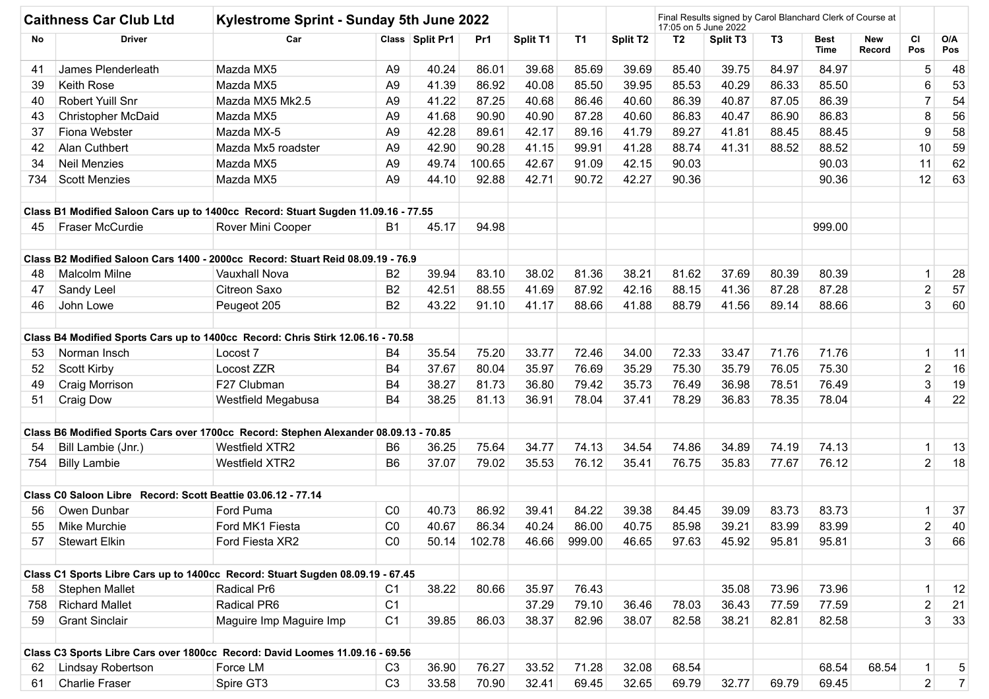| <b>Caithness Car Club Ltd</b> |                                                              | Kylestrome Sprint - Sunday 5th June 2022                                             |                |                 |        |          | Final Results signed by Carol Blanchard Clerk of Course at<br>17:05 on 5 June 2022 |                      |                |                 |                |                            |                      |                  |                |
|-------------------------------|--------------------------------------------------------------|--------------------------------------------------------------------------------------|----------------|-----------------|--------|----------|------------------------------------------------------------------------------------|----------------------|----------------|-----------------|----------------|----------------------------|----------------------|------------------|----------------|
| No                            | <b>Driver</b>                                                | Car                                                                                  |                | Class Split Pr1 | Pr1    | Split T1 | T1                                                                                 | Split T <sub>2</sub> | T <sub>2</sub> | <b>Split T3</b> | T <sub>3</sub> | <b>Best</b><br><b>Time</b> | New<br><b>Record</b> | <b>CI</b><br>Pos | O/A<br>Pos     |
| 41                            | James Plenderleath                                           | Mazda MX5                                                                            | A <sub>9</sub> | 40.24           | 86.01  | 39.68    | 85.69                                                                              | 39.69                | 85.40          | 39.75           | 84.97          | 84.97                      |                      | 5                | 48             |
| 39                            | <b>Keith Rose</b>                                            | Mazda MX5                                                                            | A <sub>9</sub> | 41.39           | 86.92  | 40.08    | 85.50                                                                              | 39.95                | 85.53          | 40.29           | 86.33          | 85.50                      |                      | 6                | 53             |
| 40                            | Robert Yuill Snr                                             | Mazda MX5 Mk2.5                                                                      | A <sub>9</sub> | 41.22           | 87.25  | 40.68    | 86.46                                                                              | 40.60                | 86.39          | 40.87           | 87.05          | 86.39                      |                      | $\overline{7}$   | 54             |
| 43                            | <b>Christopher McDaid</b>                                    | Mazda MX5                                                                            | A <sub>9</sub> | 41.68           | 90.90  | 40.90    | 87.28                                                                              | 40.60                | 86.83          | 40.47           | 86.90          | 86.83                      |                      | 8                | 56             |
| 37                            | Fiona Webster                                                | Mazda MX-5                                                                           | A <sub>9</sub> | 42.28           | 89.61  | 42.17    | 89.16                                                                              | 41.79                | 89.27          | 41.81           | 88.45          | 88.45                      |                      | 9                | 58             |
| 42                            | Alan Cuthbert                                                | Mazda Mx5 roadster                                                                   | A <sub>9</sub> | 42.90           | 90.28  | 41.15    | 99.91                                                                              | 41.28                | 88.74          | 41.31           | 88.52          | 88.52                      |                      | 10               | 59             |
| 34                            | <b>Neil Menzies</b>                                          | Mazda MX5                                                                            | A <sub>9</sub> | 49.74           | 100.65 | 42.67    | 91.09                                                                              | 42.15                | 90.03          |                 |                | 90.03                      |                      | 11               | 62             |
| 734                           | <b>Scott Menzies</b>                                         | Mazda MX5                                                                            | A <sub>9</sub> | 44.10           | 92.88  | 42.71    | 90.72                                                                              | 42.27                | 90.36          |                 |                | 90.36                      |                      | 12               | 63             |
|                               |                                                              | Class B1 Modified Saloon Cars up to 1400cc Record: Stuart Sugden 11.09.16 - 77.55    |                |                 |        |          |                                                                                    |                      |                |                 |                |                            |                      |                  |                |
| 45                            | Fraser McCurdie                                              | Rover Mini Cooper                                                                    | <b>B1</b>      | 45.17           | 94.98  |          |                                                                                    |                      |                |                 |                | 999.00                     |                      |                  |                |
|                               |                                                              | Class B2 Modified Saloon Cars 1400 - 2000cc Record: Stuart Reid 08.09.19 - 76.9      |                |                 |        |          |                                                                                    |                      |                |                 |                |                            |                      |                  |                |
| 48                            | <b>Malcolm Milne</b>                                         | <b>Vauxhall Nova</b>                                                                 | <b>B2</b>      | 39.94           | 83.10  | 38.02    | 81.36                                                                              | 38.21                | 81.62          | 37.69           | 80.39          | 80.39                      |                      | $\mathbf{1}$     | 28             |
| 47                            | Sandy Leel                                                   | Citreon Saxo                                                                         | <b>B2</b>      | 42.51           | 88.55  | 41.69    | 87.92                                                                              | 42.16                | 88.15          | 41.36           | 87.28          | 87.28                      |                      | $\mathbf 2$      | 57             |
| 46                            | John Lowe                                                    | Peugeot 205                                                                          | B <sub>2</sub> | 43.22           | 91.10  | 41.17    | 88.66                                                                              | 41.88                | 88.79          | 41.56           | 89.14          | 88.66                      |                      | 3                | 60             |
|                               |                                                              | Class B4 Modified Sports Cars up to 1400cc Record: Chris Stirk 12.06.16 - 70.58      |                |                 |        |          |                                                                                    |                      |                |                 |                |                            |                      |                  |                |
| 53                            | Norman Insch                                                 | Locost <sub>7</sub>                                                                  | B4             | 35.54           | 75.20  | 33.77    | 72.46                                                                              | 34.00                | 72.33          | 33.47           | 71.76          | 71.76                      |                      | $\mathbf{1}$     | 11             |
| 52                            | <b>Scott Kirby</b>                                           | Locost ZZR                                                                           | B4             | 37.67           | 80.04  | 35.97    | 76.69                                                                              | 35.29                | 75.30          | 35.79           | 76.05          | 75.30                      |                      | $\mathbf{2}$     | 16             |
| 49                            | Craig Morrison                                               | F27 Clubman                                                                          | B4             | 38.27           | 81.73  | 36.80    | 79.42                                                                              | 35.73                | 76.49          | 36.98           | 78.51          | 76.49                      |                      | 3                | 19             |
| 51                            | <b>Craig Dow</b>                                             | Westfield Megabusa                                                                   | B4             | 38.25           | 81.13  | 36.91    | 78.04                                                                              | 37.41                | 78.29          | 36.83           | 78.35          | 78.04                      |                      | 4                | 22             |
|                               |                                                              | Class B6 Modified Sports Cars over 1700cc Record: Stephen Alexander 08.09.13 - 70.85 |                |                 |        |          |                                                                                    |                      |                |                 |                |                            |                      |                  |                |
| 54                            | Bill Lambie (Jnr.)                                           | Westfield XTR2                                                                       | B <sub>6</sub> | 36.25           | 75.64  | 34.77    | 74.13                                                                              | 34.54                | 74.86          | 34.89           | 74.19          | 74.13                      |                      | 1                | 13             |
| 754                           | <b>Billy Lambie</b>                                          | <b>Westfield XTR2</b>                                                                | B <sub>6</sub> | 37.07           | 79.02  | 35.53    | 76.12                                                                              | 35.41                | 76.75          | 35.83           | 77.67          | 76.12                      |                      | $\overline{2}$   | 18             |
|                               | Class C0 Saloon Libre Record: Scott Beattie 03.06.12 - 77.14 |                                                                                      |                |                 |        |          |                                                                                    |                      |                |                 |                |                            |                      |                  |                |
| 56                            | Owen Dunbar                                                  | Ford Puma                                                                            | CO             | 40.73           | 86.92  | 39.41    | 84.22                                                                              | 39.38                | 84.45          | 39.09           | 83.73          | 83.73                      |                      | $\mathbf{1}$     | 37             |
| 55                            | <b>Mike Murchie</b>                                          | Ford MK1 Fiesta                                                                      | CO             | 40.67           | 86.34  | 40.24    | 86.00                                                                              | 40.75                | 85.98          | 39.21           | 83.99          | 83.99                      |                      | $\overline{2}$   | 40             |
| 57                            | <b>Stewart Elkin</b>                                         | Ford Fiesta XR2                                                                      | CO             | 50.14           | 102.78 | 46.66    | 999.00                                                                             | 46.65                | 97.63          | 45.92           | 95.81          | 95.81                      |                      | 3                | 66             |
|                               |                                                              | Class C1 Sports Libre Cars up to 1400cc Record: Stuart Sugden 08.09.19 - 67.45       |                |                 |        |          |                                                                                    |                      |                |                 |                |                            |                      |                  |                |
| 58                            | <b>Stephen Mallet</b>                                        | Radical Pr6                                                                          | C <sub>1</sub> | 38.22           | 80.66  | 35.97    | 76.43                                                                              |                      |                | 35.08           | 73.96          | 73.96                      |                      | $\mathbf{1}$     | 12             |
| 758                           | <b>Richard Mallet</b>                                        | Radical PR6                                                                          | C <sub>1</sub> |                 |        | 37.29    | 79.10                                                                              | 36.46                | 78.03          | 36.43           | 77.59          | 77.59                      |                      | $\boldsymbol{2}$ | 21             |
| 59                            | <b>Grant Sinclair</b>                                        | Maguire Imp Maguire Imp                                                              | C <sub>1</sub> | 39.85           | 86.03  | 38.37    | 82.96                                                                              | 38.07                | 82.58          | 38.21           | 82.81          | 82.58                      |                      | 3                | 33             |
|                               |                                                              | Class C3 Sports Libre Cars over 1800cc Record: David Loomes 11.09.16 - 69.56         |                |                 |        |          |                                                                                    |                      |                |                 |                |                            |                      |                  |                |
| 62                            | Lindsay Robertson                                            | Force LM                                                                             | C <sub>3</sub> | 36.90           | 76.27  | 33.52    | 71.28                                                                              | 32.08                | 68.54          |                 |                | 68.54                      | 68.54                | $\mathbf{1}$     | $\sqrt{5}$     |
| 61                            | Charlie Fraser                                               | Spire GT3                                                                            | C <sub>3</sub> | 33.58           | 70.90  | 32.41    | 69.45                                                                              | 32.65                | 69.79          | 32.77           | 69.79          | 69.45                      |                      | $\overline{2}$   | $\overline{7}$ |